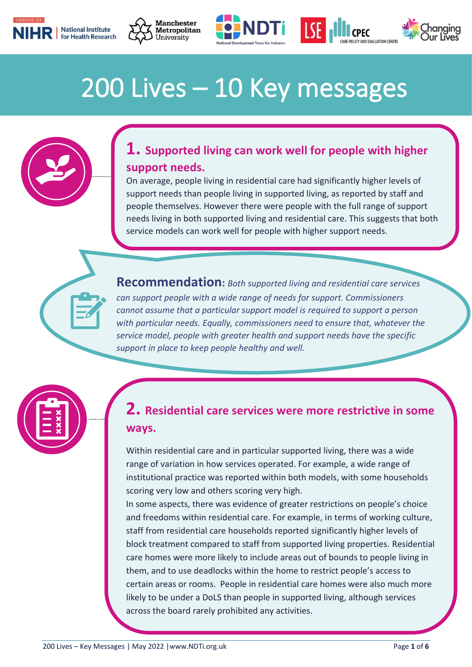







#### I 200 Lives – 10 Key messages



## **1. Supported living can work well for people with higher support needs.**

On average, people living in residential care had significantly higher levels of support needs than people living in supported living, as reported by staff and people themselves. However there were people with the full range of support needs living in both supported living and residential care. This suggests that both service models can work well for people with higher support needs.

**Recommendation:** *Both supported living and residential care services can support people with a wide range of needs for support. Commissioners cannot assume that a particular support model is required to support a person with particular needs. Equally, commissioners need to ensure that, whatever the service model, people with greater health and support needs have the specific support in place to keep people healthy and well.*



## **2. Residential care services were more restrictive in some ways.**

Within residential care and in particular supported living, there was a wide range of variation in how services operated. For example, a wide range of institutional practice was reported within both models, with some households scoring very low and others scoring very high.

In some aspects, there was evidence of greater restrictions on people's choice and freedoms within residential care. For example, in terms of working culture, staff from residential care households reported significantly higher levels of block treatment compared to staff from supported living properties. Residential care homes were more likely to include areas out of bounds to people living in them, and to use deadlocks within the home to restrict people's access to certain areas or rooms. People in residential care homes were also much more likely to be under a DoLS than people in supported living, although services across the board rarely prohibited any activities.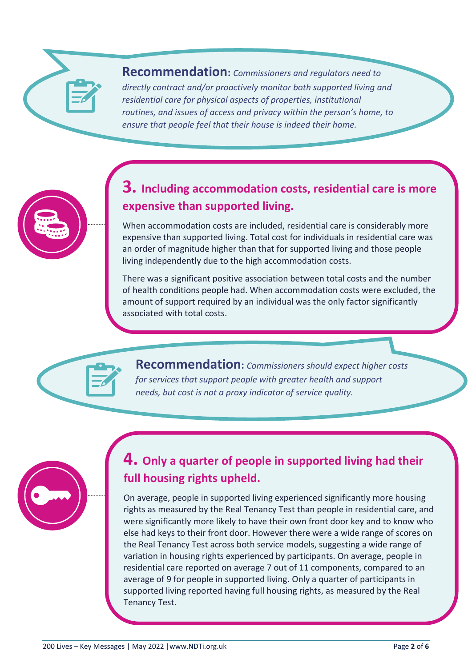#### **Recommendation:** *Commissioners and regulators need to directly contract and/or proactively monitor both supported living and residential care for physical aspects of properties, institutional routines, and issues of access and privacy within the person's home, to ensure that people feel that their house is indeed their home.*

## **3. Including accommodation costs, residential care is more expensive than supported living.**

When accommodation costs are included, residential care is considerably more expensive than supported living. Total cost for individuals in residential care was an order of magnitude higher than that for supported living and those people living independently due to the high accommodation costs.

There was a significant positive association between total costs and the number of health conditions people had. When accommodation costs were excluded, the amount of support required by an individual was the only factor significantly associated with total costs.

**Recommendation:** *Commissioners should expect higher costs for services that support people with greater health and support needs, but cost is not a proxy indicator of service quality.*



# **4. Only a quarter of people in supported living had their full housing rights upheld.**

On average, people in supported living experienced significantly more housing rights as measured by the Real Tenancy Test than people in residential care, and were significantly more likely to have their own front door key and to know who else had keys to their front door. However there were a wide range of scores on the Real Tenancy Test across both service models, suggesting a wide range of variation in housing rights experienced by participants. On average, people in residential care reported on average 7 out of 11 components, compared to an average of 9 for people in supported living. Only a quarter of participants in supported living reported having full housing rights, as measured by the Real Tenancy Test.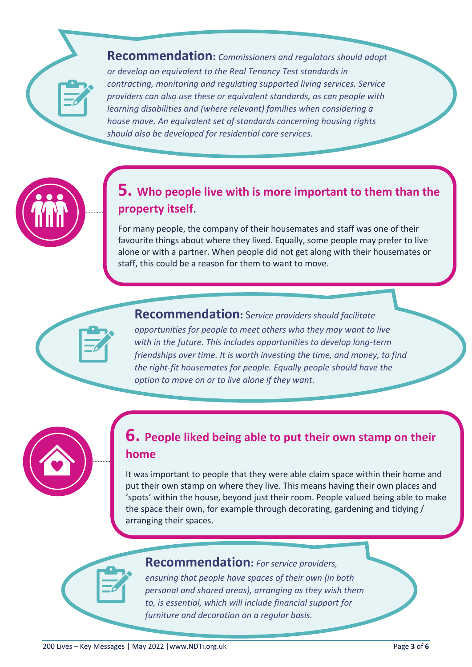**Recommendation:** *Commissioners and regulators should adopt or develop an equivalent to the Real Tenancy Test standards in contracting, monitoring and regulating supported living services. Service providers can also use these or equivalent standards, as can people with learning disabilities and (where relevant) families when considering a house move. An equivalent set of standards concerning housing rights should also be developed for residential care services.*

#### **5. Who people live with is more important to them than the property itself**.

For many people, the company of their housemates and staff was one of their favourite things about where they lived. Equally, some people may prefer to live alone or with a partner. When people did not get along with their housemates or staff, this could be a reason for them to want to move.

**Recommendation:** S*ervice providers should facilitate opportunities for people to meet others who they may want to live with in the future. This includes opportunities to develop long-term friendships over time. It is worth investing the time, and money, to find the right-fit housemates for people. Equally people should have the option to move on or to live alone if they want.*

#### **6. People liked being able to put their own stamp on their home**

It was important to people that they were able claim space within their home and put their own stamp on where they live. This means having their own places and 'spots' within the house, beyond just their room. People valued being able to make the space their own, for example through decorating, gardening and tidying / arranging their spaces.



#### **Recommendation:** *For service providers,*

*ensuring that people have spaces of their own (in both personal and shared areas), arranging as they wish them to, is essential, which will include financial support for furniture and decoration on a regular basis.*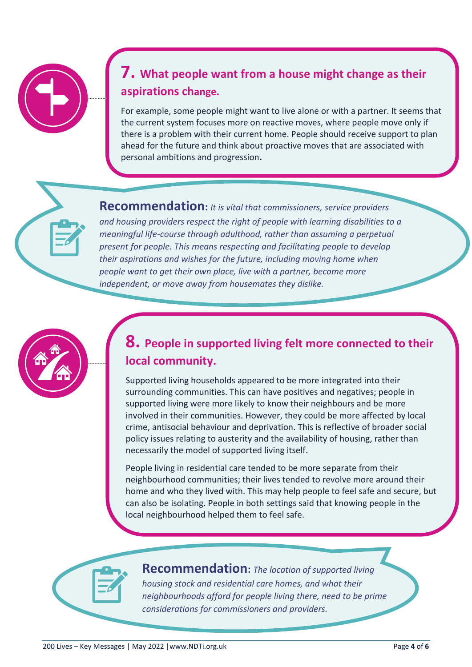## **7. What people want from a house might change as their aspirations change.**

For example, some people might want to live alone or with a partner. It seems that the current system focuses more on reactive moves, where people move only if there is a problem with their current home. People should receive support to plan ahead for the future and think about proactive moves that are associated with personal ambitions and progression**.**

**Recommendation:** *It is vital that commissioners, service providers and housing providers respect the right of people with learning disabilities to a meaningful life-course through adulthood, rather than assuming a perpetual present for people. This means respecting and facilitating people to develop their aspirations and wishes for the future, including moving home when people want to get their own place, live with a partner, become more independent, or move away from housemates they dislike.*



# **8. People in supported living felt more connected to their local community.**

Supported living households appeared to be more integrated into their surrounding communities. This can have positives and negatives; people in supported living were more likely to know their neighbours and be more involved in their communities. However, they could be more affected by local crime, antisocial behaviour and deprivation. This is reflective of broader social policy issues relating to austerity and the availability of housing, rather than necessarily the model of supported living itself.

People living in residential care tended to be more separate from their neighbourhood communities; their lives tended to revolve more around their home and who they lived with. This may help people to feel safe and secure, but can also be isolating. People in both settings said that knowing people in the local neighbourhood helped them to feel safe.



**Recommendation:** *The location of supported living housing stock and residential care homes, and what their neighbourhoods afford for people living there, need to be prime considerations for commissioners and providers.*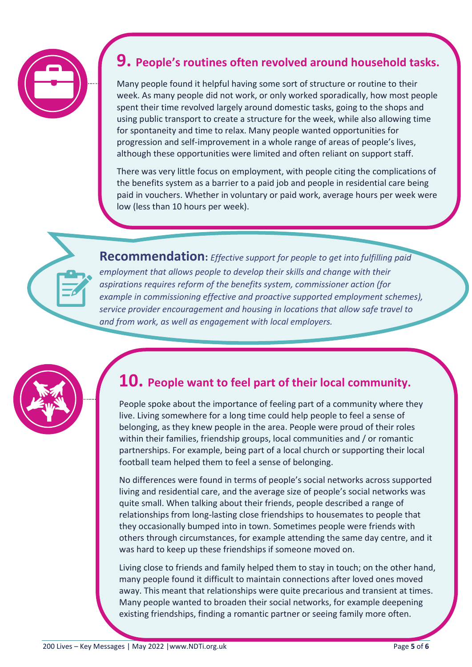

#### **9. People's routines often revolved around household tasks.**

Many people found it helpful having some sort of structure or routine to their week. As many people did not work, or only worked sporadically, how most people spent their time revolved largely around domestic tasks, going to the shops and using public transport to create a structure for the week, while also allowing time for spontaneity and time to relax. Many people wanted opportunities for progression and self-improvement in a whole range of areas of people's lives, although these opportunities were limited and often reliant on support staff.

There was very little focus on employment, with people citing the complications of the benefits system as a barrier to a paid job and people in residential care being paid in vouchers. Whether in voluntary or paid work, average hours per week were low (less than 10 hours per week).



**Recommendation:** *Effective support for people to get into fulfilling paid employment that allows people to develop their skills and change with their aspirations requires reform of the benefits system, commissioner action (for example in commissioning effective and proactive supported employment schemes), service provider encouragement and housing in locations that allow safe travel to and from work, as well as engagement with local employers.*



#### **10. People want to feel part of their local community.**

People spoke about the importance of feeling part of a community where they live. Living somewhere for a long time could help people to feel a sense of belonging, as they knew people in the area. People were proud of their roles within their families, friendship groups, local communities and / or romantic partnerships. For example, being part of a local church or supporting their local football team helped them to feel a sense of belonging.

No differences were found in terms of people's social networks across supported living and residential care, and the average size of people's social networks was quite small. When talking about their friends, people described a range of relationships from long-lasting close friendships to housemates to people that they occasionally bumped into in town. Sometimes people were friends with others through circumstances, for example attending the same day centre, and it was hard to keep up these friendships if someone moved on.

Living close to friends and family helped them to stay in touch; on the other hand, many people found it difficult to maintain connections after loved ones moved away. This meant that relationships were quite precarious and transient at times. Many people wanted to broaden their social networks, for example deepening existing friendships, finding a romantic partner or seeing family more often.